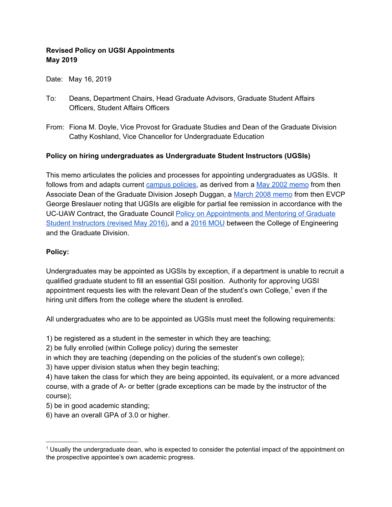## **Revised Policy on UGSI Appointments May 2019**

Date: May 16, 2019

- To: Deans, Department Chairs, Head Graduate Advisors, Graduate Student Affairs Officers, Student Affairs Officers
- From: Fiona M. Doyle, Vice Provost for Graduate Studies and Dean of the Graduate Division Cathy Koshland, Vice Chancellor for Undergraduate Education

## **Policy on hiring undergraduates as Undergraduate Student Instructors (UGSIs)**

This memo articulates the policies and processes for appointing undergraduates as UGSIs. It follows from and adapts current [campus](https://grad.berkeley.edu/policy/appointments-policy/#h14-undergraduate-students) policies, as derived from a May 2002 [memo](https://grad.berkeley.edu/wp-content/uploads/MEMO28May2002UndergradStudentInstructors.pdf) from then Associate Dean of the Graduate Division Joseph Duggan, a March 2008 [memo](https://grad.berkeley.edu/wp-content/uploads/MEMO10March2008UGSIFeeRemission.pdf) from then EVCP George Breslauer noting that UGSIs are eligible for partial fee remission in accordance with the UC-UAW Contract, the Graduate Council Policy on [Appointments](https://academic-senate.berkeley.edu/sites/default/files/gc_policy_on_appt_and_mentoring_gsis.pdf) and Mentoring of Graduate Student [Instructors](https://academic-senate.berkeley.edu/sites/default/files/gc_policy_on_appt_and_mentoring_gsis.pdf) (revised May 2016), and a 2016 [MOU](https://grad.berkeley.edu/wp-content/uploads/MOU-for-Appt-of-UG-GSIs-for-EECS-07_01_2016.pdf) between the College of Engineering and the Graduate Division.

## **Policy:**

Undergraduates may be appointed as UGSIs by exception, if a department is unable to recruit a qualified graduate student to fill an essential GSI position. Authority for approving UGSI appointment requests lies with the relevant Dean of the student's own College,<sup>1</sup> even if the hiring unit differs from the college where the student is enrolled.

All undergraduates who are to be appointed as UGSIs must meet the following requirements:

1) be registered as a student in the semester in which they are teaching;

2) be fully enrolled (within College policy) during the semester

in which they are teaching (depending on the policies of the student's own college);

3) have upper division status when they begin teaching;

4) have taken the class for which they are being appointed, its equivalent, or a more advanced course, with a grade of A- or better (grade exceptions can be made by the instructor of the course);

5) be in good academic standing;

6) have an overall GPA of 3.0 or higher.

<sup>&</sup>lt;sup>1</sup> Usually the undergraduate dean, who is expected to consider the potential impact of the appointment on the prospective appointee's own academic progress.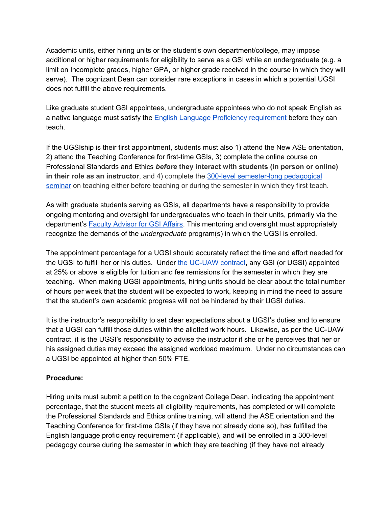Academic units, either hiring units or the student's own department/college, may impose additional or higher requirements for eligibility to serve as a GSI while an undergraduate (e.g. a limit on Incomplete grades, higher GPA, or higher grade received in the course in which they will serve). The cognizant Dean can consider rare exceptions in cases in which a potential UGSI does not fulfill the above requirements.

Like graduate student GSI appointees, undergraduate appointees who do not speak English as a native language must satisfy the English Language Proficiency [requirement](https://gsi.berkeley.edu/programs-services/language-proficiency/how-to-satisfy-the-oral-english-proficiency-screening-requirement-for-a-gsi-appointment/) before they can teach.

If the UGSIship is their first appointment, students must also 1) attend the New ASE orientation, 2) attend the Teaching Conference for first-time GSIs, 3) complete the online course on Professional Standards and Ethics *before* **they interact with students (in person or online) in their role as an instructor**, and 4) complete the 300-level [semester-long](https://gsi.berkeley.edu/basics-for-gsis/pedagogy-course/) pedagogical [seminar](https://gsi.berkeley.edu/basics-for-gsis/pedagogy-course/) on teaching either before teaching or during the semester in which they first teach.

As with graduate students serving as GSIs, all departments have a responsibility to provide ongoing mentoring and oversight for undergraduates who teach in their units, primarily via the department's Faculty [Advisor](https://gsi.berkeley.edu/faculty-departments/advisers-for-gsi-affairs/) for GSI Affairs. This mentoring and oversight must appropriately recognize the demands of the *undergraduate* program(s) in which the UGSI is enrolled.

The appointment percentage for a UGSI should accurately reflect the time and effort needed for the UGSI to fulfill her or his duties. Under the [UC-UAW](https://ucnet.universityofcalifornia.edu/labor/bargaining-units/bx/contract.html) contract, any GSI (or UGSI) appointed at 25% or above is eligible for tuition and fee remissions for the semester in which they are teaching. When making UGSI appointments, hiring units should be clear about the total number of hours per week that the student will be expected to work, keeping in mind the need to assure that the student's own academic progress will not be hindered by their UGSI duties.

It is the instructor's responsibility to set clear expectations about a UGSI's duties and to ensure that a UGSI can fulfill those duties within the allotted work hours. Likewise, as per the UC-UAW contract, it is the UGSI's responsibility to advise the instructor if she or he perceives that her or his assigned duties may exceed the assigned workload maximum. Under no circumstances can a UGSI be appointed at higher than 50% FTE.

## **Procedure:**

Hiring units must submit a petition to the cognizant College Dean, indicating the appointment percentage, that the student meets all eligibility requirements, has completed or will complete the Professional Standards and Ethics online training, will attend the ASE orientation and the Teaching Conference for first-time GSIs (if they have not already done so), has fulfilled the English language proficiency requirement (if applicable), and will be enrolled in a 300-level pedagogy course during the semester in which they are teaching (if they have not already